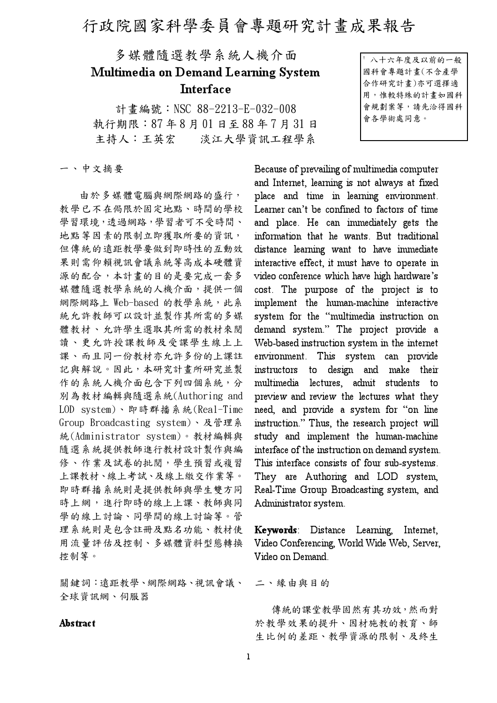## 行政院國家科學委員會專題研究計畫成果報告

## 多媒體隨選教學系統人機介面 Multimedia on Demand Learning System Interface

計書編號: NSC 88-2213-E-032-008 執行期限: 87年8月01日至88年7月31日 主持人:王英宏 淡江大學資訊工程學系

八十六年度及以前的一般 國科會專題計畫(不含產學 合作研究計畫)亦可選擇適 用,惟較特殊的計畫如國科 會規劃案等,請先洽得國科 會各學術處同意。

一、中文摘要

由於多媒體電腦與網際網路的盛行, 教學已不在侷限於固定地點、時間的學校 學習環境,透過網路,學習者可不受時間、 地點等因素的限制立即獲取所要的資訊, 但傳統的遠距教學要做到即時性的互動效 果則需仰賴視訊會議系統等高成本硬體資 源的配合,本計畫的目的是要完成一套多 媒體隨選教學系統的人機介面,提供一個 網際網路上 Web-based 的教學系統,此系 統允許教師可以設計並製作其所需的多媒 體教材、允許學生選取其所需的教材來閱 讀、更允許授課教師及受課學生線上上 課、而且同一份教材亦允許多份的上課註 記與解說。因此,本研究計畫所研究並製 作的系統人機介面包含下列四個系統,分 別為教材編輯與隨選系統(Authoring and LOD system)、即時群播系統(Real-Time Group Broadcasting system)、及管理系 統(Administrator system)。教材編輯與 隨選系統提供教師進行教材設計製作與編 修、作業及試卷的批閱,學生預習或複習 上課教材、線上考試、及線上繳交作業等。 即時群播系統則是提供教師與學生雙方同 時上網,進行即時的線上上課、教師與同 學的線上討論、同學間的線上討論等。管 理系統則是包含註冊及點名功能、教材使 用流量評估及控制、多媒體資料型態轉換 控制等。

關鍵詞:遠距教學、網際網路、視訊會議、 全球資訊網、伺服器

## Abstract

Because of prevailing of multimedia computer and Internet, learning is not always at fixed place and time in learning environment. Learner can't be confined to factors of time and place. He can immediately gets the information that he wants. But traditional distance learning want to have immediate interactive effect, it must have to operate in video conference which have high hardware's cost. The purpose of the project is to implement the human-machine interactive system for the "multimedia instruction on demand system." The project provide a Web-based instruction system in the internet environment. This system can provide instructors to design and make their multimedia lectures, admit students to to preview and review the lectures what they need, and provide a system for "on line instruction." Thus, the research project will study and implement the human-machine interface of the instruction on demand system. This interface consists of four sub-systems. They are Authoring and LOD system, Real-Time Group Broadcasting system, and Administrator system.

Keywords: Distance Learning, Internet, Video Conferencing, World Wide Web, Server, Video on Demand.

二、緣由與目的

傳統的課堂教學固然有其功效,然而對 於教學效果的提升、因材施教的教育、師 生比例的差距、教學資源的限制、及終生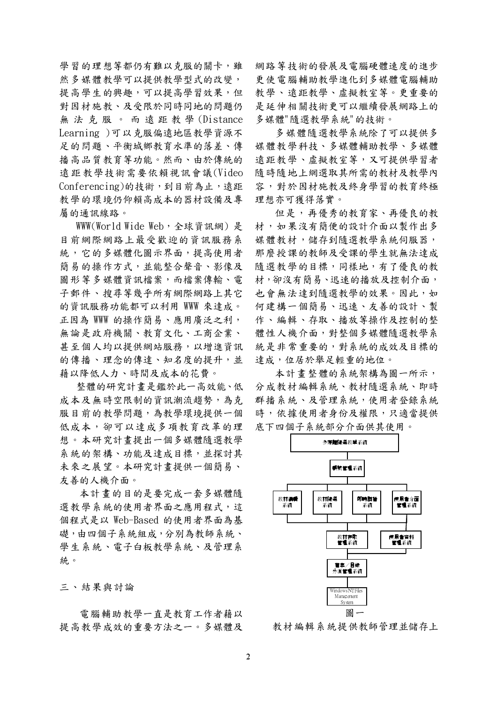學習的理想等都仍有難以克服的關卡,雖 然多媒體教學可以提供教學型式的改變, 提高學生的興趣,可以提高學習效果,但 對因材施教、及受限於同時同地的問題仍 無法克服。而遠距教學(Distance Learning )可以克服偏遠地區教學資源不 足的問題、平衡城鄉教育水準的落差、傳 播高品質教育等功能。然而、由於傳統的 遠距教學技術需要依賴視訊會議(Video Conferencing)的技術,到目前為止,遠距 教學的環境仍仰賴高成本的器材設備及專 屬的通訊線路。

WWW(World Wide Web,全球資訊網)是 目前網際網路上最受歡迎的資訊服務系 統, 它的多媒體化圖示界面, 提高使用者 簡易的操作方式,並能整合聲音、影像及 圖形等多媒體資訊檔案,而檔案傳輸、電 子郵件、搜尋等幾乎所有網際網路上其它 的資訊服務功能都可以利用 WWW 來達成。 正因為 WWW 的操作簡易、應用廣泛之利, 無論是政府機關、教育文化、工商企業、 甚至個人均以提供網站服務,以增進資訊 的傳播、理念的傳達、知名度的提升,並 藉以降低人力、時間及成本的花費。

整體的研究計書是鑑於此一高效能、低 成本及無時空限制的資訊潮流趨勢,為克 服目前的教學問題,為教學環境提供一個 低成本,卻可以達成多項教育改革的理 想。本研究計畫提出一個多媒體隨選教學 系統的架構、功能及達成目標,並探討其 未來之展望。本研究計畫提供一個簡易、 友善的人機介面。

本計書的目的是要完成一套多媒體隨 選教學系統的使用者界面之應用程式,這 個程式是以 Web-Based 的使用者界面為基 礎,由四個子系統組成,分別為教師系統、 學生系統、電子白板教學系統、及管理系 統。

三、結果與討論

電腦輔助教學一直是教育工作者藉以 提高教學成效的重要方法之一。多媒體及 網路等技術的發展及電腦硬體速度的進步 更使電腦輔助教學進化到多媒體電腦輔助 教學、遠距教學、虛擬教室等。更重要的 是延伸相關技術更可以繼續發展網路上的 多媒體"隨選教學系統"的技術。

多媒體隨選教學系統除了可以提供多 媒體教學科技、多媒體輔助教學、多媒體 遠距教學、虛擬教室等,又可提供學習者 隨時隨地上網選取其所需的教材及教學內 容,對於因材施教及終身學習的教育終極 理想亦可獲得落實。

但是,再優秀的教育家、再優良的教 材,如果沒有簡便的設計介面以製作出多 媒體教材,儲存到隨選教學系統伺服器, 那麼授課的教師及受課的學生就無法達成 隨選教學的目標,同樣地,有了優良的教 材,卻沒有簡易、迅速的播放及控制介面, 也會無法達到隨選教學的效果。因此,如 何建構一個簡易、迅速、友善的設計、製 作、編輯、存取、播放等操作及控制的整 體性人機介面,對整個多媒體隨選教學系 統是非常重要的,對系統的成效及目標的 達成,位居於舉足輕重的地位。

本計畫整體的系統架構為圖一所示, 分成教材編輯系統、教材隨選系統、即時 群播系統、及管理系統,使用者登錄系統 時,依據使用者身份及權限,只適當提供 底下四個子系統部分介面供其使用。



教材編輯系統提供教師管理並儲存上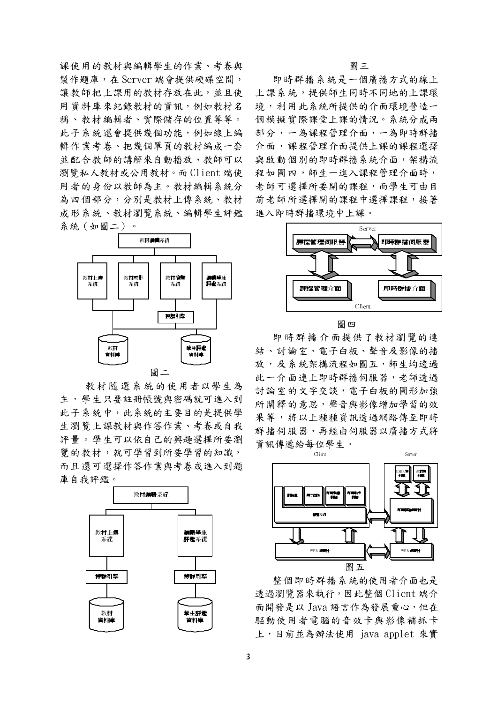課使用的教材與編輯學生的作業、考卷與 製作題庫,在 Server 端會提供硬碟空間, 讓教師把上課用的教材存放在此,並且使 用資料庫來紀錄教材的資訊,例如教材名 稱、教材編輯者、實際儲存的位置等等。 此子系統還會提供幾個功能,例如線上編 輯作業考卷、把幾個單頁的教材編成一套 並配合教師的講解來自動播放、教師可以 瀏覽私人教材或公用教材。而Client端使 用者的身份以教師為主。教材編輯系統分 為四個部分,分別是教材上傳系統、教材 成形系統、教材瀏覽系統、編輯學生評鑑 系統(如圖二)。



教材隨選系統的使用者以學生為 主,學生只要註冊帳號與密碼就可進入到 此子系統中,此系統的主要目的是提供學 生瀏覽上課教材與作答作業、考卷或自我 評量。學生可以依自己的興趣選擇所要瀏 覽的教材,就可學習到所要學習的知識, 而且還可選擇作答作業與考卷或進入到題 庫自我評鑑。



圖三

即時群播系統是一個廣播方式的線上 上課系統,提供師生同時不同地的上課環 境,利用此系統所提供的介面環境營造一 個模擬實際課堂上課的情況。系統分成兩 部分,一為課程管理介面,一為即時群播 介面,課程管理介面提供上課的課程選擇 與啟動個別的即時群播系統介面,架構流 程如圖四,師生一進入課程管理介面時, 老師可選擇所要開的課程,而學生可由目 前老師所選擇開的課程中選擇課程,接著 進入即時群播環境中上課。



圖四

即時群播介面提供了教材瀏覽的連 結、計論室、雷子白板、聲音及影像的播 放,及系統架構流程如圖五,師生均透過 此一介面連上即時群播伺服器,老師透過 計論室的文字交談,雷子白板的圖形加強 所 闡釋的意思,聲音與影像增加學習的效 果等,將以上種種資訊透過網路傳至即時 群播伺服器,再經由伺服器以廣播方式將 資訊傳遞給每位學生。



整個即時群播系統的使用者介面也是 透過瀏覽器來執行,因此整個 Client 端介 面開發是以 Java 語言作為發展重心,但在 驅動使用者電腦的音效卡與影像補抓卡 上,目前並為辦法使用 java applet 來實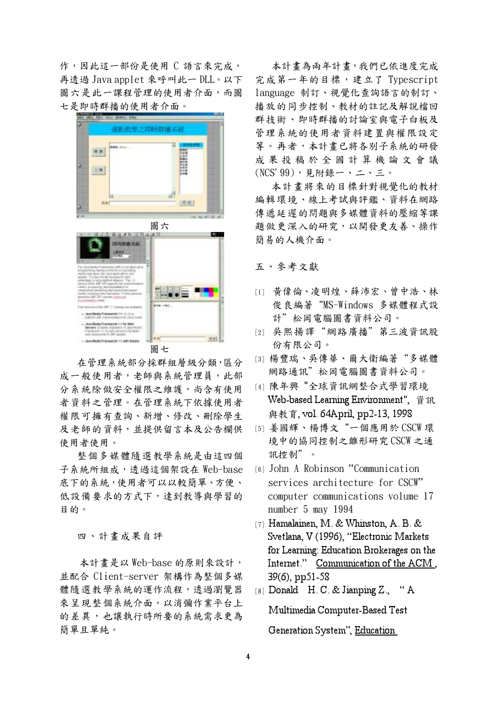作,因此這一部份是使用 C 語言來完成, 再透過 Java applet 來呼叫此一 DLL。以下 圖六是此一課程管理的使用者介面,而圖 七是即時群播的使用者介面。



圖七

在管理系統部分採群組層級分類,區分 成一般使用者,老師與系統管理員,此部 分系統除做安全權限之維護,尚含有使用 者資料之管理。在管理系統下依據使用者 權限可擁有查詢、新增、修改、刪除學生 及老師的資料,並提供留言本及公告欄供 使用者使用。

整個多媒體隨選教學系統是由這四個 子系統所組成,透過這個架設在 Web-base 底下的系統,使用者可以以較簡單、方便、 低設備要求的方式下,達到教導與學習的 目的。

四、計書成果自評

本計書是以 Web-base 的原則來設計, 並配合 Client-server 架構作為整個多媒 體隨選教學系統的運作流程,透過瀏覽器 來呈現整個系統介面,以消彌作業平台上 的差異,也讓執行時所要的系統需求更為 簡單且單純。

本計畫為兩年計畫,我們已依進度完成 完成第一年的目標,建立了 Typescript language 制訂、視覺化查詢語言的制訂、 播放的同步控制、教材的註記及解說檔回 群技術、即時群播的討論室與電子白板及 管理系統的使用者資料建置與權限設定 等。再者,本計畫已將各別子系統的研發 成果投稿於全國計算機論文會議  $(NCS'99)$ , 見附錄一、二、三。

本計畫將來的目標針對視覺化的教材 編輯環境、線上考試與評鑑、資料在網路 傳遞延遲的問題與多媒體資料的壓縮等課 題做更深入的研究,以開發更友善、操作 簡易的人機介面。

## 五、參考文獻

- [1] 黄偉倫、凌明煌、薛沛宏、曾中浩、林 俊良編著"MS-Windows 多媒體程式設 計"松岡雷腦圖書資料公司。
- [2] 吴熙揚譯"網路廣播"第三波資訊股 份有限公司。
- [3] 楊豐瑞、吳傳華、爾大衛編著"多媒體 網路通訊"松岡電腦圖書資料公司。
- [4] 陳年興 "全球資訊網整合式學習環境 Web-based Learning Environment", 資訊 與教育, vol. 64April, pp2-13, 1998
- [5] 姜國輝、楊博文"一個應用於 CSCW 環 境中的協同控制之雛形研究CSCW之通 訊控制"。
- [6] John A Robinson "Communication services architecture for CSCW" computer communications volume 17 number 5 may 1994
- [7] Hamalainen, M. & Whinston, A. B. & Svetlana, V (1996), "Electronic Markets for Learning: Education Brokerages on the Internet." Communication of the ACM, 39(6), pp51-58
- [8] Donald H. C. & Jianping  $Z_n$ , Multimedia Computer-Based Test Generation System", Education